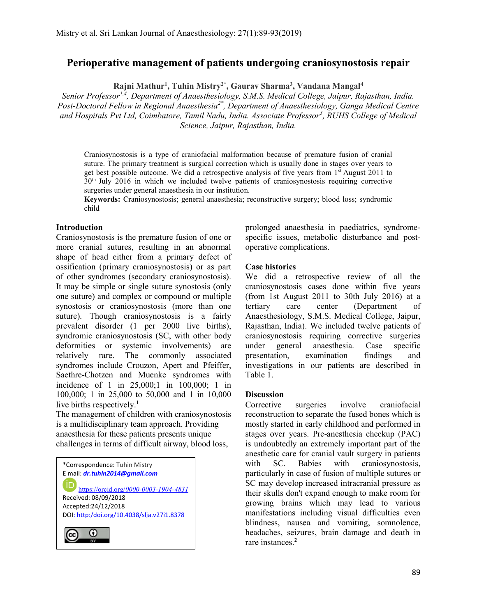# Perioperative management of patients undergoing craniosynostosis repair

Rajni Mathur<sup>1</sup>, Tuhin Mistry<sup>2\*</sup>, Gaurav Sharma<sup>3</sup>, Vandana Mangal<sup>4</sup>

Senior Professor<sup>1,4</sup>, Department of Anaesthesiology, S.M.S. Medical College, Jaipur, Rajasthan, India. Post-Doctoral Fellow in Regional Anaesthesia<sup>2\*</sup>, Department of Anaesthesiology, Ganga Medical Centre and Hospitals Pvt Ltd, Coimbatore, Tamil Nadu, India. Associate Professor<sup>3</sup>, RUHS College of Medical Science, Jaipur, Rajasthan, India.

Craniosynostosis is a type of craniofacial malformation because of premature fusion of cranial suture. The primary treatment is surgical correction which is usually done in stages over years to get best possible outcome. We did a retrospective analysis of five years from 1<sup>st</sup> August 2011 to 30th July 2016 in which we included twelve patients of craniosynostosis requiring corrective surgeries under general anaesthesia in our institution.

Keywords: Craniosynostosis; general anaesthesia; reconstructive surgery; blood loss; syndromic child

### Introduction

Craniosynostosis is the premature fusion of one or more cranial sutures, resulting in an abnormal shape of head either from a primary defect of ossification (primary craniosynostosis) or as part of other syndromes (secondary craniosynostosis). It may be simple or single suture synostosis (only one suture) and complex or compound or multiple synostosis or craniosynostosis (more than one suture). Though craniosynostosis is a fairly prevalent disorder (1 per 2000 live births), syndromic craniosynostosis (SC, with other body deformities or systemic involvements) are relatively rare. The commonly associated syndromes include Crouzon, Apert and Pfeiffer, Saethre-Chotzen and Muenke syndromes with incidence of 1 in 25,000;1 in 100,000; 1 in 100,000; 1 in 25,000 to 50,000 and 1 in 10,000 live births respectively.<sup>1</sup>

The management of children with craniosynostosis is a multidisciplinary team approach. Providing anaesthesia for these patients presents unique challenges in terms of difficult airway, blood loss,



prolonged anaesthesia in paediatrics, syndromespecific issues, metabolic disturbance and postoperative complications.

# Case histories

We did a retrospective review of all the craniosynostosis cases done within five years (from 1st August 2011 to 30th July 2016) at a tertiary care center (Department of Anaesthesiology, S.M.S. Medical College, Jaipur, Rajasthan, India). We included twelve patients of craniosynostosis requiring corrective surgeries under general anaesthesia. Case specific presentation, examination findings and investigations in our patients are described in Table 1.

#### **Discussion**

Corrective surgeries involve craniofacial reconstruction to separate the fused bones which is mostly started in early childhood and performed in stages over years. Pre-anesthesia checkup (PAC) is undoubtedly an extremely important part of the anesthetic care for cranial vault surgery in patients with SC. Babies with craniosynostosis, particularly in case of fusion of multiple sutures or SC may develop increased intracranial pressure as their skulls don't expand enough to make room for growing brains which may lead to various manifestations including visual difficulties even blindness, nausea and vomiting, somnolence, headaches, seizures, brain damage and death in rare instances.<sup>2</sup>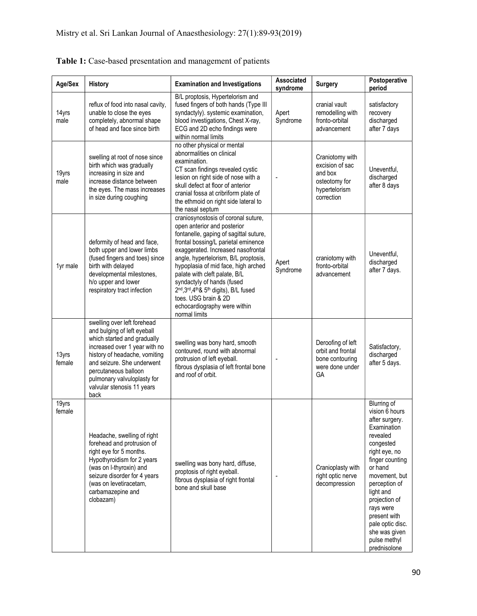| Age/Sex         | <b>History</b>                                                                                                                                                                                                                                                                         | <b>Examination and Investigations</b>                                                                                                                                                                                                                                                                                                                                                                                                                      | Associated<br>syndrome | <b>Surgery</b>                                                                                | Postoperative<br>period                                                                                                                                                                                                                                                                                         |
|-----------------|----------------------------------------------------------------------------------------------------------------------------------------------------------------------------------------------------------------------------------------------------------------------------------------|------------------------------------------------------------------------------------------------------------------------------------------------------------------------------------------------------------------------------------------------------------------------------------------------------------------------------------------------------------------------------------------------------------------------------------------------------------|------------------------|-----------------------------------------------------------------------------------------------|-----------------------------------------------------------------------------------------------------------------------------------------------------------------------------------------------------------------------------------------------------------------------------------------------------------------|
| 14yrs<br>male   | reflux of food into nasal cavity,<br>unable to close the eyes<br>completely, abnormal shape<br>of head and face since birth                                                                                                                                                            | B/L proptosis, Hypertelorism and<br>fused fingers of both hands (Type III<br>syndactyly). systemic examination,<br>blood investigations, Chest X-ray,<br>ECG and 2D echo findings were<br>within normal limits                                                                                                                                                                                                                                             | Apert<br>Syndrome      | cranial vault<br>remodelling with<br>fronto-orbital<br>advancement                            | satisfactory<br>recovery<br>discharged<br>after 7 days                                                                                                                                                                                                                                                          |
| 19yrs<br>male   | swelling at root of nose since<br>birth which was gradually<br>increasing in size and<br>increase distance between<br>the eyes. The mass increases<br>in size during coughing                                                                                                          | no other physical or mental<br>abnormalities on clinical<br>examination.<br>CT scan findings revealed cystic<br>lesion on right side of nose with a<br>skull defect at floor of anterior<br>cranial fossa at cribriform plate of<br>the ethmoid on right side lateral to<br>the nasal septum                                                                                                                                                               |                        | Craniotomy with<br>excision of sac<br>and box<br>osteotomy for<br>hypertelorism<br>correction | Uneventful,<br>discharged<br>after 8 days                                                                                                                                                                                                                                                                       |
| 1yr male        | deformity of head and face,<br>both upper and lower limbs<br>(fused fingers and toes) since<br>birth with delayed<br>developmental milestones,<br>h/o upper and lower<br>respiratory tract infection                                                                                   | craniosynostosis of coronal suture,<br>open anterior and posterior<br>fontanelle, gaping of sagittal suture,<br>frontal bossing/L parietal eminence<br>exaggerated. Increased nasofrontal<br>angle, hypertelorism, B/L proptosis,<br>hypoplasia of mid face, high arched<br>palate with cleft palate, B/L<br>syndactyly of hands (fused<br>2nd, 3rd, 4th & 5th digits), B/L fused<br>toes. USG brain & 2D<br>echocardiography were within<br>normal limits | Apert<br>Syndrome      | craniotomy with<br>fronto-orbital<br>advancement                                              | Uneventful,<br>discharged<br>after 7 days.                                                                                                                                                                                                                                                                      |
| 13yrs<br>female | swelling over left forehead<br>and bulging of left eyeball<br>which started and gradually<br>increased over 1 year with no<br>history of headache, vomiting<br>and seizure. She underwent<br>percutaneous balloon<br>pulmonary valvuloplasty for<br>valvular stenosis 11 years<br>back | swelling was bony hard, smooth<br>contoured, round with abnormal<br>protrusion of left eyeball.<br>fibrous dysplasia of left frontal bone<br>and roof of orbit.                                                                                                                                                                                                                                                                                            |                        | Deroofing of left<br>orbit and frontal<br>bone contouring<br>were done under<br>GA            | Satisfactory,<br>discharged<br>after 5 days.                                                                                                                                                                                                                                                                    |
| 19yrs<br>female | Headache, swelling of right<br>forehead and protrusion of<br>right eye for 5 months.<br>Hypothyroidism for 2 years<br>(was on I-thyroxin) and<br>seizure disorder for 4 years<br>(was on levetiracetam,<br>carbamazepine and<br>clobazam)                                              | swelling was bony hard, diffuse,<br>proptosis of right eyeball.<br>fibrous dysplasia of right frontal<br>bone and skull base                                                                                                                                                                                                                                                                                                                               |                        | Cranioplasty with<br>right optic nerve<br>decompression                                       | <b>Blurring of</b><br>vision 6 hours<br>after surgery.<br>Examination<br>revealed<br>congested<br>right eye, no<br>finger counting<br>or hand<br>movement, but<br>perception of<br>light and<br>projection of<br>rays were<br>present with<br>pale optic disc.<br>she was given<br>pulse methyl<br>prednisolone |

| Table 1: Case-based presentation and management of patients |  |
|-------------------------------------------------------------|--|
|-------------------------------------------------------------|--|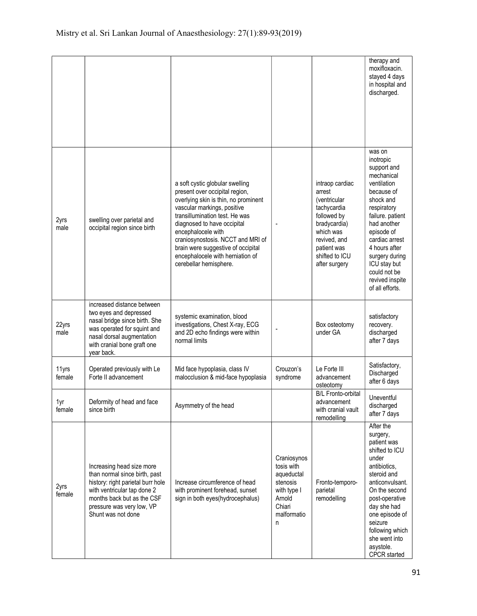|                 |                                                                                                                                                                                                                 |                                                                                                                                                                                                                                                                                                                                                                          |                                                                                                            |                                                                                                                                                                         | therapy and<br>moxifloxacin.<br>stayed 4 days<br>in hospital and<br>discharged.                                                                                                                                                                                                       |
|-----------------|-----------------------------------------------------------------------------------------------------------------------------------------------------------------------------------------------------------------|--------------------------------------------------------------------------------------------------------------------------------------------------------------------------------------------------------------------------------------------------------------------------------------------------------------------------------------------------------------------------|------------------------------------------------------------------------------------------------------------|-------------------------------------------------------------------------------------------------------------------------------------------------------------------------|---------------------------------------------------------------------------------------------------------------------------------------------------------------------------------------------------------------------------------------------------------------------------------------|
| 2yrs<br>male    | swelling over parietal and<br>occipital region since birth                                                                                                                                                      | a soft cystic globular swelling<br>present over occipital region,<br>overlying skin is thin, no prominent<br>vascular markings, positive<br>transillumination test. He was<br>diagnosed to have occipital<br>encephalocele with<br>craniosynostosis. NCCT and MRI of<br>brain were suggestive of occipital<br>encephalocele with herniation of<br>cerebellar hemisphere. |                                                                                                            | intraop cardiac<br>arrest<br>(ventricular)<br>tachycardia<br>followed by<br>bradycardia)<br>which was<br>revived, and<br>patient was<br>shifted to ICU<br>after surgery | was on<br>inotropic<br>support and<br>mechanical<br>ventilation<br>because of<br>shock and<br>respiratory<br>failure. patient<br>had another<br>episode of<br>cardiac arrest<br>4 hours after<br>surgery during<br>ICU stay but<br>could not be<br>revived inspite<br>of all efforts. |
| 22yrs<br>male   | increased distance between<br>two eyes and depressed<br>nasal bridge since birth. She<br>was operated for squint and<br>nasal dorsal augmentation<br>with cranial bone graft one<br>year back.                  | systemic examination, blood<br>investigations, Chest X-ray, ECG<br>and 2D echo findings were within<br>normal limits                                                                                                                                                                                                                                                     |                                                                                                            | Box osteotomy<br>under GA                                                                                                                                               | satisfactory<br>recovery.<br>discharged<br>after 7 days                                                                                                                                                                                                                               |
| 11yrs<br>female | Operated previously with Le<br>Forte II advancement                                                                                                                                                             | Mid face hypoplasia, class IV<br>malocclusion & mid-face hypoplasia                                                                                                                                                                                                                                                                                                      | Crouzon's<br>syndrome                                                                                      | Le Forte III<br>advancement<br>osteotomy                                                                                                                                | Satisfactory,<br>Discharged<br>after 6 days                                                                                                                                                                                                                                           |
| 1yr<br>female   | Deformity of head and face<br>since birth                                                                                                                                                                       | Asymmetry of the head                                                                                                                                                                                                                                                                                                                                                    |                                                                                                            | B/L Fronto-orbital<br>advancement<br>with cranial vault<br>remodelling                                                                                                  | Uneventful<br>discharged<br>after 7 days                                                                                                                                                                                                                                              |
| 2yrs<br>female  | Increasing head size more<br>than normal since birth, past<br>history: right parietal burr hole<br>with ventricular tap done 2<br>months back but as the CSF<br>pressure was very low, VP<br>Shunt was not done | Increase circumference of head<br>with prominent forehead, sunset<br>sign in both eyes(hydrocephalus)                                                                                                                                                                                                                                                                    | Craniosynos<br>tosis with<br>aqueductal<br>stenosis<br>with type I<br>Arnold<br>Chiari<br>malformatio<br>n | Fronto-temporo-<br>parietal<br>remodelling                                                                                                                              | After the<br>surgery,<br>patient was<br>shifted to ICU<br>under<br>antibiotics,<br>steroid and<br>anticonvulsant.<br>On the second<br>post-operative<br>day she had<br>one episode of<br>seizure<br>following which<br>she went into<br>asystole.<br><b>CPCR</b> started              |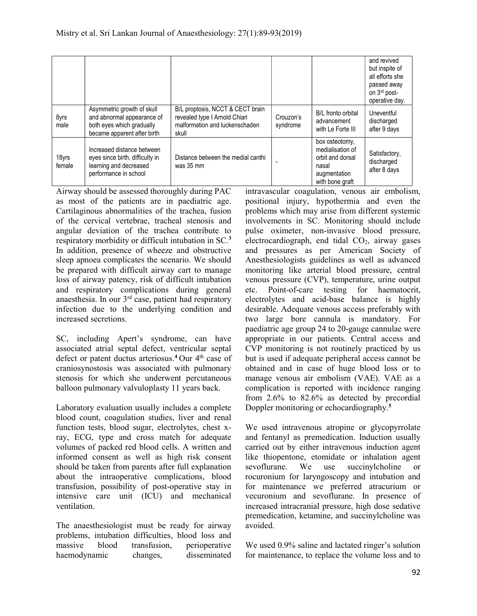|                 |                                                                                                                      |                                                                                                              |                       |                                                                                                    | and revived<br>but inspite of<br>all efforts she<br>passed away<br>on 3rd post-<br>operative day. |
|-----------------|----------------------------------------------------------------------------------------------------------------------|--------------------------------------------------------------------------------------------------------------|-----------------------|----------------------------------------------------------------------------------------------------|---------------------------------------------------------------------------------------------------|
| 8yrs<br>male    | Asymmetric growth of skull<br>and abnormal appearance of<br>both eyes which gradually<br>became apparent after birth | B/L proptosis, NCCT & CECT brain<br>revealed type I Arnold Chiari<br>malformation and luckenschaden<br>skull | Crouzon's<br>syndrome | B/L fronto orbital<br>advancement<br>with Le Forte III                                             | Uneventful<br>discharged<br>after 9 days                                                          |
| 18yrs<br>female | Increased distance between<br>eyes since birth, difficulty in<br>learning and decreased<br>performance in school     | Distance between the medial canthi<br>was 35 mm                                                              |                       | box osteotomy,<br>medialisation of<br>orbit and dorsal<br>nasal<br>augmentation<br>with bone graft | Satisfactory,<br>discharged<br>after 8 days                                                       |

Airway should be assessed thoroughly during PAC as most of the patients are in paediatric age. Cartilaginous abnormalities of the trachea, fusion of the cervical vertebrae, tracheal stenosis and angular deviation of the trachea contribute to respiratory morbidity or difficult intubation in SC.<sup>3</sup> In addition, presence of wheeze and obstructive sleep apnoea complicates the scenario. We should be prepared with difficult airway cart to manage loss of airway patency, risk of difficult intubation and respiratory complications during general anaesthesia. In our 3rd case, patient had respiratory infection due to the underlying condition and increased secretions.

SC, including Apert's syndrome, can have associated atrial septal defect, ventricular septal defect or patent ductus arteriosus.<sup>4</sup> Our  $4<sup>th</sup>$  case of craniosynostosis was associated with pulmonary stenosis for which she underwent percutaneous balloon pulmonary valvuloplasty 11 years back.

Laboratory evaluation usually includes a complete blood count, coagulation studies, liver and renal function tests, blood sugar, electrolytes, chest xray, ECG, type and cross match for adequate volumes of packed red blood cells. A written and informed consent as well as high risk consent should be taken from parents after full explanation about the intraoperative complications, blood transfusion, possibility of post-operative stay in intensive care unit (ICU) and mechanical ventilation.

The anaesthesiologist must be ready for airway problems, intubation difficulties, blood loss and massive blood transfusion, perioperative haemodynamic changes, disseminated

intravascular coagulation, venous air embolism, positional injury, hypothermia and even the problems which may arise from different systemic involvements in SC. Monitoring should include pulse oximeter, non-invasive blood pressure, electrocardiograph, end tidal CO<sub>2</sub>, airway gases and pressures as per American Society of Anesthesiologists guidelines as well as advanced monitoring like arterial blood pressure, central venous pressure (CVP), temperature, urine output etc. Point-of-care testing for haematocrit, electrolytes and acid-base balance is highly desirable. Adequate venous access preferably with two large bore cannula is mandatory. For paediatric age group 24 to 20-gauge cannulae were appropriate in our patients. Central access and CVP monitoring is not routinely practiced by us but is used if adequate peripheral access cannot be obtained and in case of huge blood loss or to manage venous air embolism (VAE). VAE as a complication is reported with incidence ranging from 2.6% to 82.6% as detected by precordial Doppler monitoring or echocardiography.<sup>5</sup>

We used intravenous atropine or glycopyrrolate and fentanyl as premedication. Induction usually carried out by either intravenous induction agent like thiopentone, etomidate or inhalation agent sevoflurane. We use succinylcholine or rocuronium for laryngoscopy and intubation and for maintenance we preferred atracurium or vecuronium and sevoflurane. In presence of increased intracranial pressure, high dose sedative premedication, ketamine, and succinylcholine was avoided.

We used 0.9% saline and lactated ringer's solution for maintenance, to replace the volume loss and to